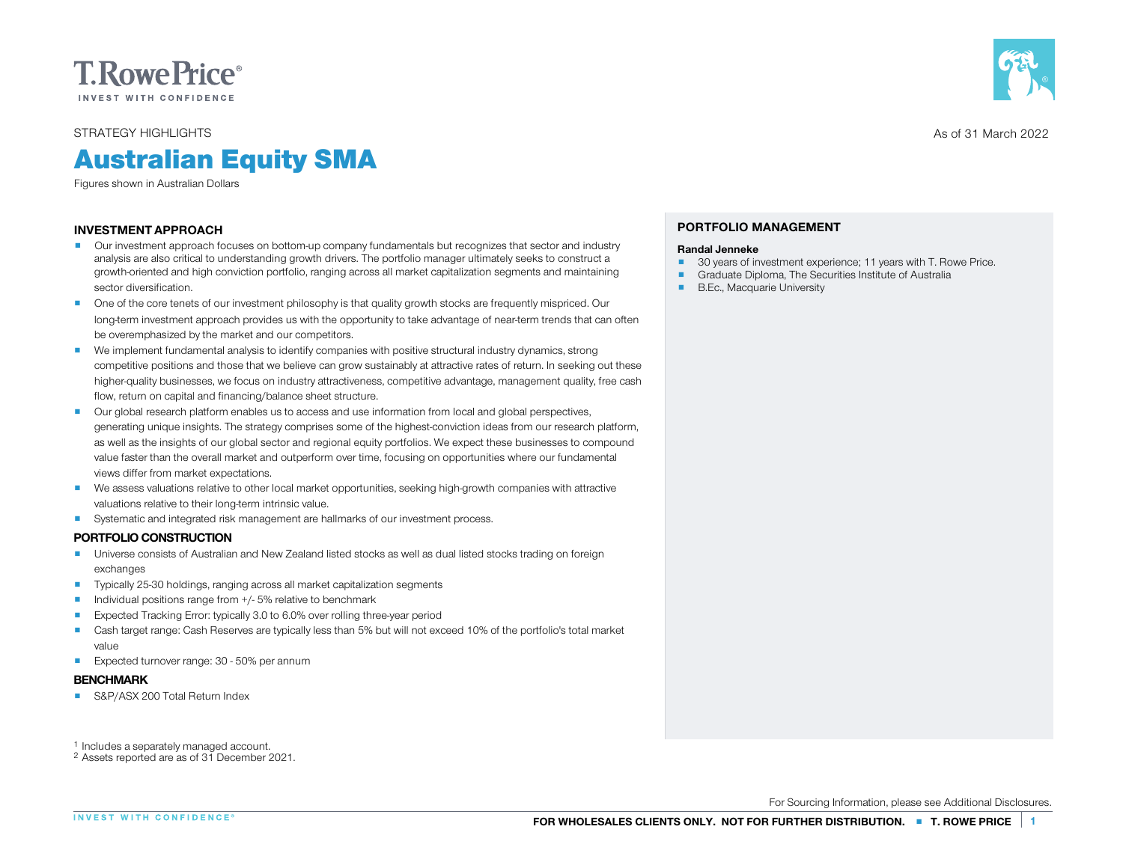

STRATEGY HIGHLIGHTS

# Australian Equity SMA

Figures shown in Australian Dollars

# INVESTMENT APPROACH

- **P** Our investment approach focuses on bottom-up company fundamentals but recognizes that sector and industry analysis are also critical to understanding growth drivers. The portfolio manager ultimately seeks to construct a growth-oriented and high conviction portfolio, ranging across all market capitalization segments and maintaining sector diversification.
- **P** One of the core tenets of our investment philosophy is that quality growth stocks are frequently mispriced. Our long-term investment approach provides us with the opportunity to take advantage of near-term trends that can often<br>be overemphasized by the market and our competitors.
- **•** We implement fundamental analysis to identify companies with positive structural industry dynamics, strong be overemphasized by the market and our competitors.<br>We implement fundamental analysis to identify companies with positive structural industry dynamics, strong<br>competitive positions and those that we believe can grow susta We implement fundamental analysis to identify companies with positive structural industry dynamics, strong<br>competitive positions and those that we believe can grow sustainably at attractive rates of return. In seeking out flow, return on capital and financing/balance sheet structure. prompetitive advantage, management quality, free cash<br>flow, return on capital and financing/balance sheet structure.<br>Our global research platform enables us to
- flow, return on capital and financing/balance sheet structure.<br>Our global research platform enables us to access and use information from local and global perspectives,<br>generating unique insights. The strategy comprises so Our global research platform enables us to access and use information from local and global perspectives,<br>generating unique insights. The strategy comprises some of the highest-conviction ideas from our research platform,<br> as well as the insights of our global sector and regional equity portfolios. We expect these businesses to compound<br>value faster than the overall market and outperform over time, focusing on opportunities where our fundame
- We assess valuations relative to other local market opportunities, seeking high-growth companies with attractive<br>valuations relative to their long-term intrinsic value. views differ from market expectations.<br>
■ We assess valuations relative to their long-term intrinsic value.<br>
■ Systematic and integrated risk management are hallmarks of our investment process.
- valuations relative to their long-term<br>
Systematic and integrated risk man-<br> **PORTFOLIO CONSTRUCTION**

- **PORTFOLIO CONSTRUCTION**<br>
 Universe consists of Australian and New Zealand listed stocks as well as dual listed stocks trading on foreign exchanges
- 
- 
- 
- Typically 25-30 holdings, ranging across all market capitalization segments<br>■ Individual positions range from +/- 5% relative to benchmark<br>■ Expected Tracking Error: typically 3.0 to 6.0% over rolling three-year period<br> value
- **Expected turnover range: 30 50% per annum**

# BENCHMARK

**B** S&P/ASX 200 Total Return Index

<sup>1</sup> Includes a separately managed account. <sup>2</sup> Assets reported are as of 31 December 2021.



As of 31 March 2022

# PORTFOLIO MANAGEMENT

- **Randal Jenneke**<br> **20** years of investment experience; 11 years with T. Rowe Price.<br> **9** Graduate Diploma, The Securities Institute of Australia<br> **9** B.Ec., Macquarie University
- 
-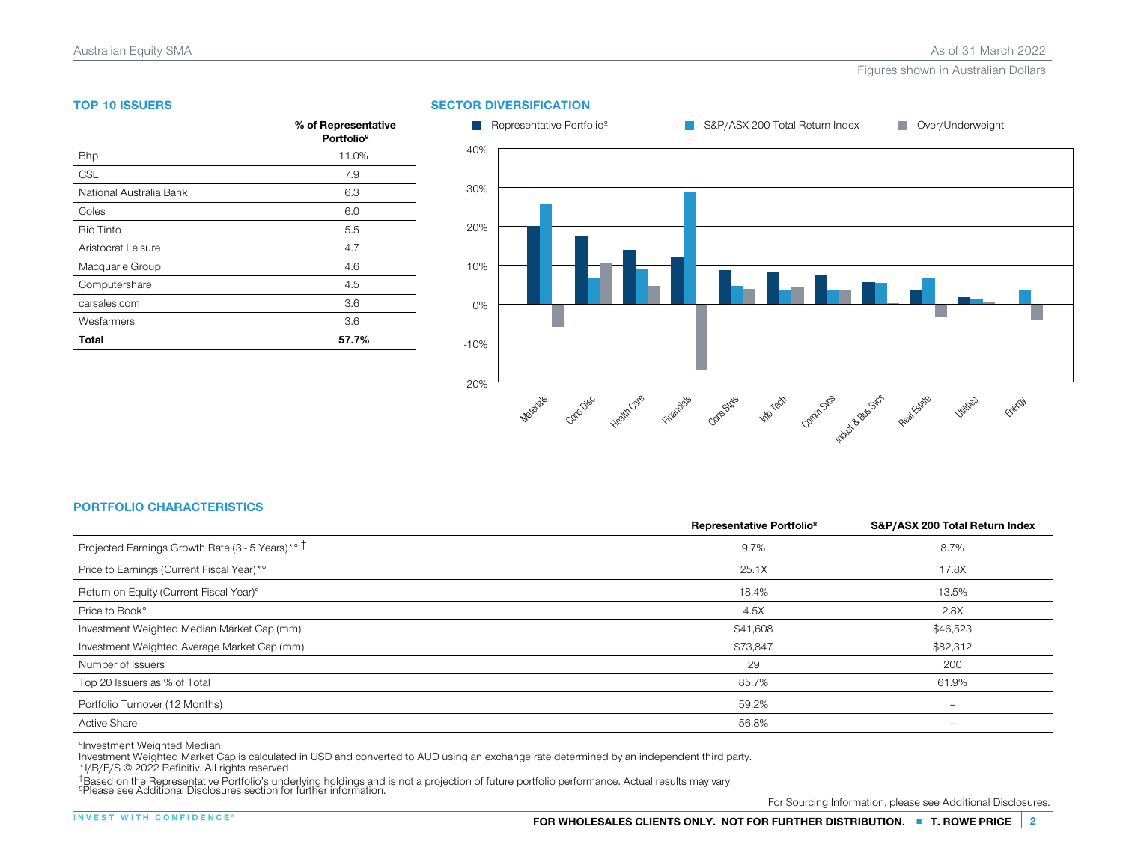# TOP 10 ISSUERS

| <b>TOP 10 ISSUERS</b>   |                                               |
|-------------------------|-----------------------------------------------|
|                         | % of Representative<br>Portfolio <sup>9</sup> |
| <b>Bhp</b>              | 11.0%                                         |
| CSL                     | 7.9                                           |
| National Australia Bank | 6.3                                           |
| Coles                   | 6.0                                           |
| Rio Tinto               | 5.5                                           |
| Aristocrat Leisure      | 4.7                                           |
| Macquarie Group         | 4.6                                           |
| Computershare           | 4.5                                           |
| carsales.com            | 3.6                                           |
| Wesfarmers              | 3.6                                           |
| Total                   | 57.7%                                         |



# PORTFOLIO CHARACTERISTICS

| <b>PORTFOLIO CHARACTERISTICS</b>                 |                                       |                                |
|--------------------------------------------------|---------------------------------------|--------------------------------|
|                                                  | Representative Portfolio <sup>9</sup> | S&P/ASX 200 Total Return Index |
| Projected Earnings Growth Rate (3 - 5 Years)*° T | 9.7%                                  | 8.7%                           |
| Price to Earnings (Current Fiscal Year)*°        | 25.1X                                 | 17.8X                          |
| Return on Equity (Current Fiscal Year)°          | 18.4%                                 | 13.5%                          |
| Price to Book <sup>°</sup>                       | 4.5X                                  | 2.8X                           |
| Investment Weighted Median Market Cap (mm)       | \$41,608                              | \$46,523                       |
| Investment Weighted Average Market Cap (mm)      | \$73,847                              | \$82,312                       |
| Number of Issuers                                | 29                                    | 200                            |
| Top 20 Issuers as % of Total                     | 85.7%                                 | 61.9%                          |
| Portfolio Turnover (12 Months)                   | 59.2%                                 | -                              |
| <b>Active Share</b>                              | 56.8%                                 | -                              |

°Investment Weighted Median.

Pinvestment Weighted Median.<br>Investment Weighted Market Cap is calculated in USD and converted to AUD using an exchange rate determined by an independent third party.<br>\*I/B/E/S © 2022 Refinitiv. All rights reserved.<br>TRased moestment Weighted Market Cap is calculated in USD and converted to AUD using an exchange rate determined by an independent third partyle/F/S © 2022 Refinitiv. All rights reserved.<br>†Based on the Representative Portfolio's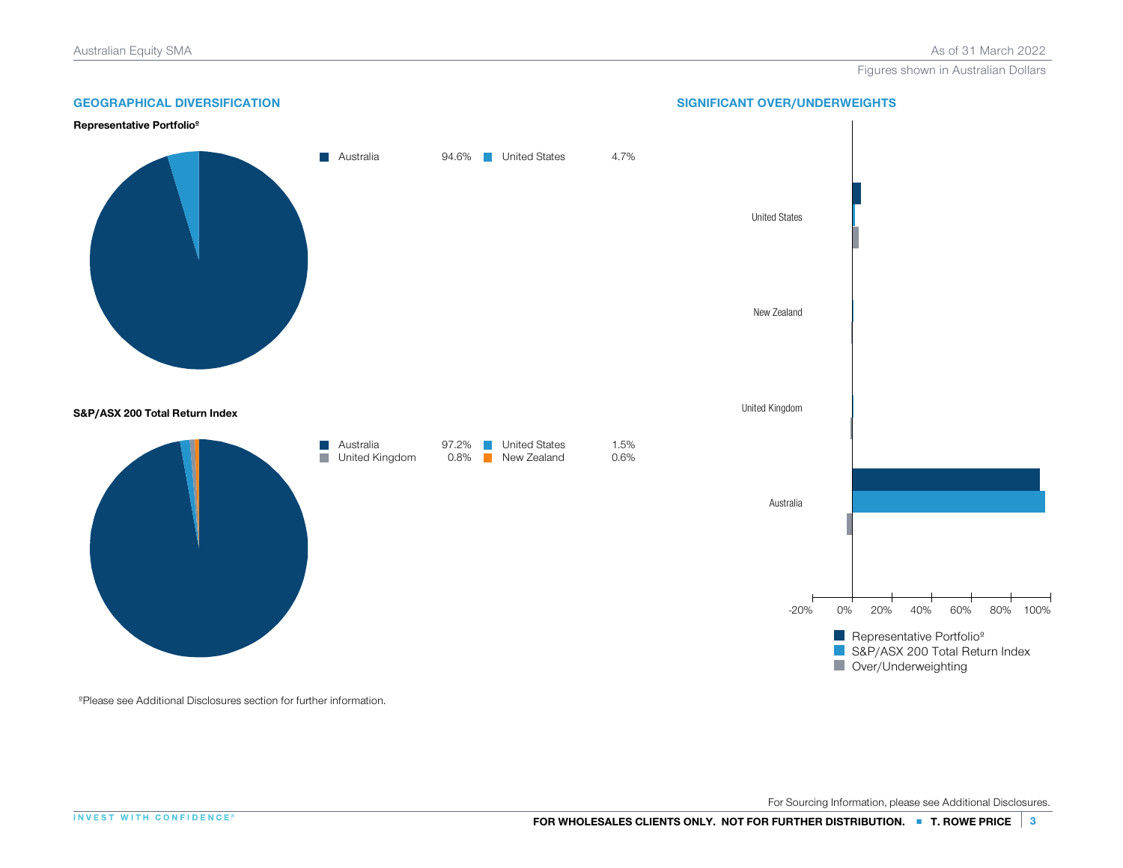

ºPlease see Additional Disclosures section for further information.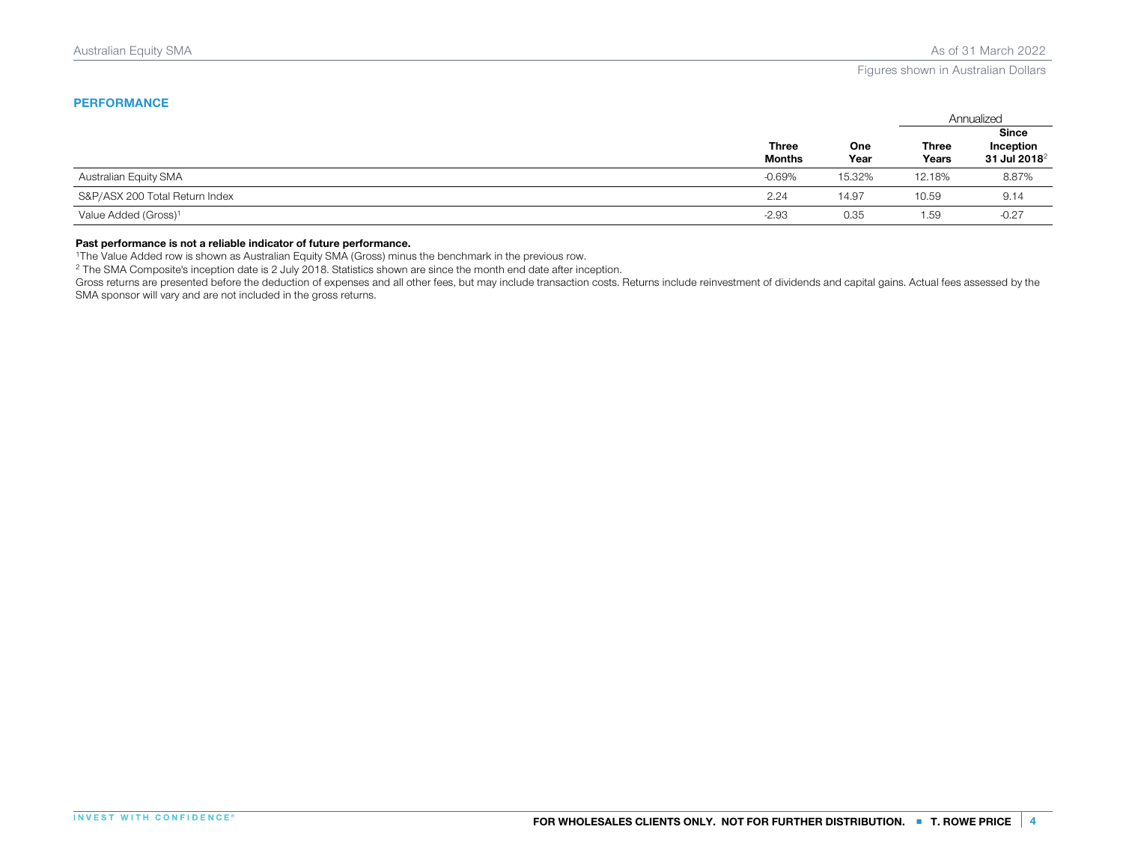# **PERFORMANCE**

|                                  |                               |                    | Annualized            |                                                       |
|----------------------------------|-------------------------------|--------------------|-----------------------|-------------------------------------------------------|
|                                  | <b>Three</b><br><b>Months</b> | <b>One</b><br>Year | <b>Three</b><br>Years | <b>Since</b><br>Inception<br>31 Jul 2018 <sup>2</sup> |
| Australian Equity SMA            | $-0.69%$                      | 15.32%             | 12.18%                | 8.87%                                                 |
| S&P/ASX 200 Total Return Index   | 2.24                          | 14.97              | 10.59                 | 9.14                                                  |
| Value Added (Gross) <sup>1</sup> | $-2.93$                       | 0.35               | 1.59                  | $-0.27$                                               |

# Past performance is not a reliable indicator of future performance.

<sup>1</sup>The Value Added row is shown as Australian Equity SMA (Gross) minus the benchmark in the previous row.

<sup>2</sup> The SMA Composite's inception date is 2 July 2018. Statistics shown are since the month end date after inception.

Gross returns are presented before the deduction of expenses and all other fees, but may include transaction costs. Returns include reinvestment of dividends and capital gains. Actual fees assessed by the SMA sponsor will vary and are not included in the gross returns.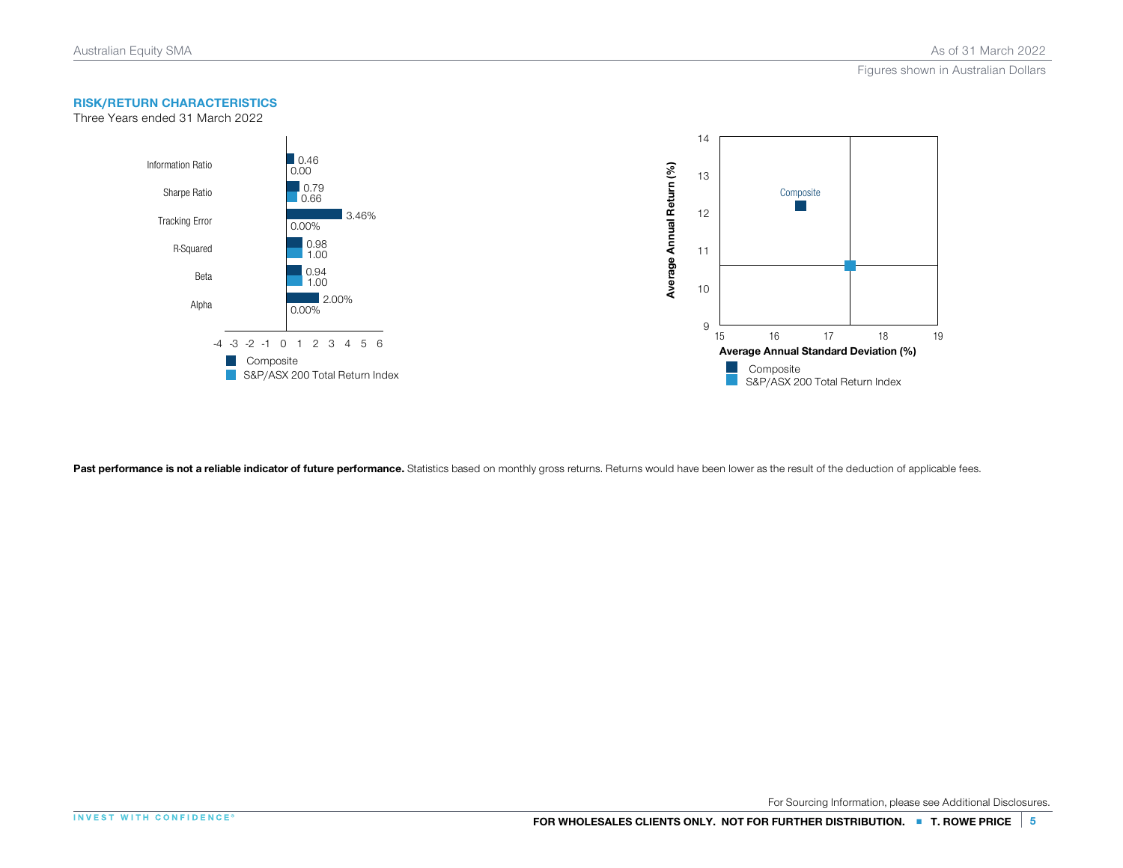

Past performance is not a reliable indicator of future performance. Statistics based on monthly gross returns. Returns would have been lower as the result of the deduction of applicable fees.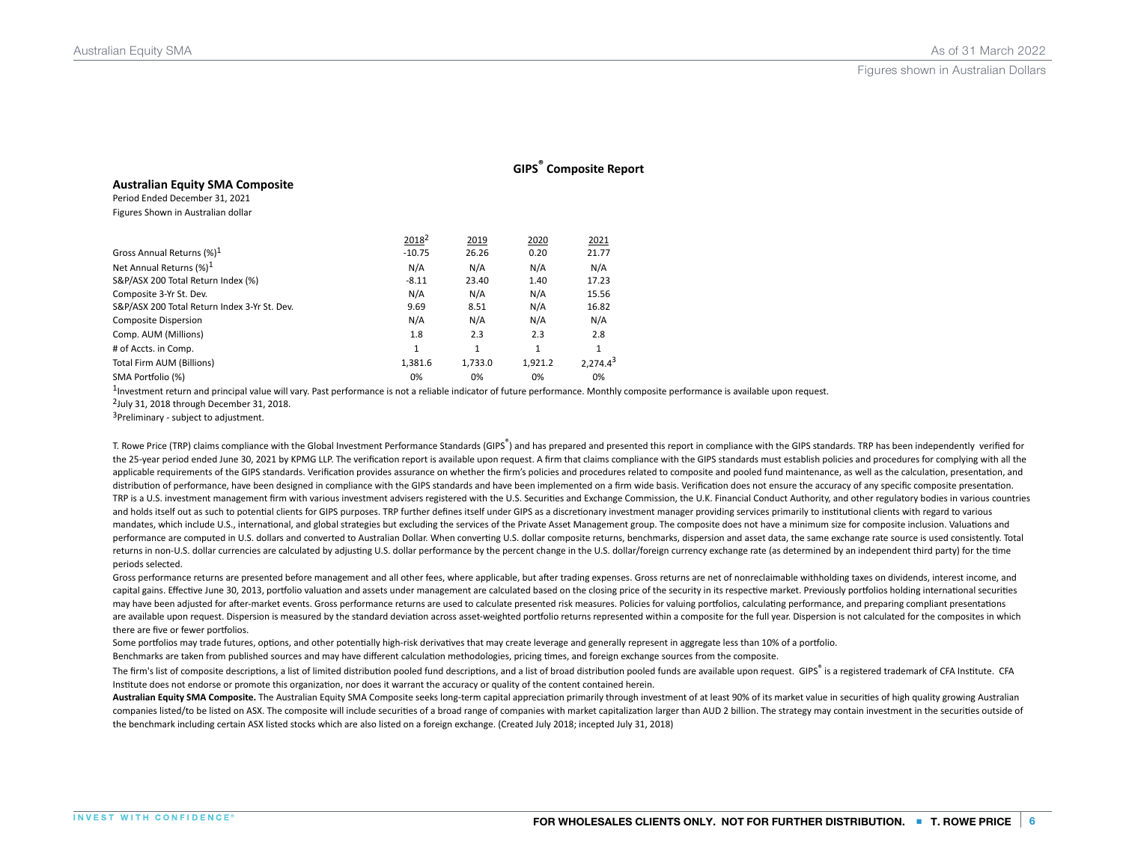|                                              |                   |         | <b>GIPS</b> Composite Report |               |
|----------------------------------------------|-------------------|---------|------------------------------|---------------|
| <b>Australian Equity SMA Composite</b>       |                   |         |                              |               |
| Period Ended December 31, 2021               |                   |         |                              |               |
| Figures Shown in Australian dollar           |                   |         |                              |               |
|                                              | 2018 <sup>2</sup> | 2019    | 2020                         | 2021          |
| Gross Annual Returns (%) <sup>1</sup>        | $-10.75$          | 26.26   | 0.20                         | 21.77         |
| Net Annual Returns (%) <sup>1</sup>          | N/A               | N/A     | N/A                          | N/A           |
| S&P/ASX 200 Total Return Index (%)           | $-8.11$           | 23.40   | 1.40                         | 17.23         |
| Composite 3-Yr St. Dev.                      | N/A               | N/A     | N/A                          | 15.56         |
| S&P/ASX 200 Total Return Index 3-Yr St. Dev. | 9.69              | 8.51    | N/A                          | 16.82         |
| <b>Composite Dispersion</b>                  | N/A               | N/A     | N/A                          | N/A           |
| Comp. AUM (Millions)                         | 1.8               | 2.3     | 2.3                          | 2.8           |
| # of Accts. in Comp.                         | 1                 | 1       | 1                            | 1             |
| Total Firm AUM (Billions)                    | 1,381.6           | 1,733.0 | 1,921.2                      | $2.274.4^{3}$ |
| SMA Portfolio (%)                            | 0%                | 0%      | 0%                           | 0%            |

<sup>1</sup>Investment return and principal value will vary. Past performance is not a reliable indicator of future performance. Monthly composite performance is available upon request.

 $2$ July 31, 2018 through December 31, 2018.

<sup>3</sup>Preliminary - subject to adjustment.

T. Rowe Price (TRP) claims compliance with the Global Investment Performance Standards (GIPS®) and has prepared and presented this report in compliance with the GIPS standards. TRP has been independently verified for the 25-year period ended June 30, 2021 by KPMG LLP. The verification report is available upon request. A firm that claims compliance with the GIPS standards must establish policies and procedures for complying with all the applicable requirements of the GIPS standards. Verification provides assurance on whether the firm's policies and procedures related to composite and pooled fund maintenance, as well as the calculation, presentation, and distribution of performance, have been designed in compliance with the GIPS standards and have been implemented on a firm wide basis. Verification does not ensure the accuracy of any specific composite presentation. TRP is a U.S. investment management firm with various investment advisers registered with the U.S. Securities and Exchange Commission, the U.K. Financial Conduct Authority, and other regulatory bodies in various countries and holds itself out as such to potential clients for GIPS purposes. TRP further defines itself under GIPS as a discretionary investment manager providing services primarily to institutional clients with regard to various mandates, which include U.S., international, and global strategies but excluding the services of the Private Asset Management group. The composite does not have a minimum size for composite inclusion. Valuations and performance are computed in U.S. dollars and converted to Australian Dollar. When converting U.S. dollar composite returns, benchmarks, dispersion and asset data, the same exchange rate source is used consistently. Total returns in non-U.S. dollar currencies are calculated by adjusting U.S. dollar performance by the percent change in the U.S. dollar/foreign currency exchange rate (as determined by an independent third party) for the time periods selected.

Gross performance returns are presented before management and all other fees, where applicable, but after trading expenses. Gross returns are net of nonreclaimable withholding taxes on dividends, interest income, and capital gains. Effective June 30, 2013, portfolio valuation and assets under management are calculated based on the closing price of the security in its respective market. Previously portfolios holding international securi may have been adjusted for after-market events. Gross performance returns are used to calculate presented risk measures. Policies for valuing portfolios, calculating performance, and preparing compliant presentations are available upon request. Dispersion is measured by the standard deviation across asset-weighted portfolio returns represented within a composite for the full year. Dispersion is not calculated for the composites in whic there are five or fewer portfolios.

Some portfolios may trade futures, options, and other potentially high-risk derivatives that may create leverage and generally represent in aggregate less than 10% of a portfolio.

Benchmarks are taken from published sources and may have different calculation methodologies, pricing times, and foreign exchange sources from the composite.

The firm's list of composite descriptions, a list of limited distribution pooled fund descriptions, and a list of broad distribution pooled funds are available upon request. GIPS® is a registered trademark of CFA Institute Institute does not endorse or promote this organization, nor does it warrant the accuracy or quality of the content contained herein.

Australian Equity SMA Composite. The Australian Equity SMA Composite seeks long-term capital appreciation primarily through investment of at least 90% of its market value in securities of high quality growing Australian companies listed/to be listed on ASX. The composite will include securities of a broad range of companies with market capitalization larger than AUD 2 billion. The strategy may contain investment in the securities outside the benchmark including certain ASX listed stocks which are also listed on a foreign exchange. (Created July 2018; incepted July 31, 2018)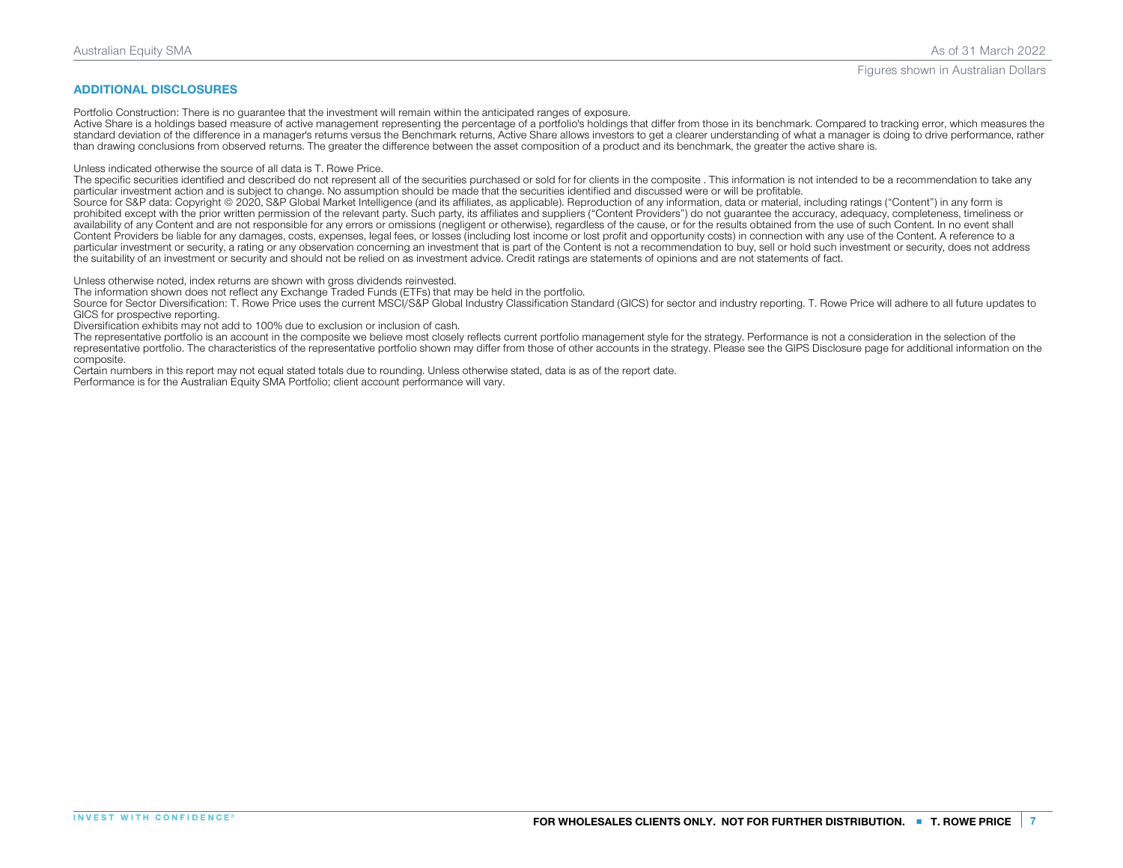### ADDITIONAL DISCLOSURES

Portfolio Construction: There is no guarantee that the investment will remain within the anticipated ranges of exposure.

Active Share is a holdings based measure of active management representing the percentage of a portfolio's holdings that differ from those in its benchmark. Compared to tracking error, which measures the standard deviation of the difference in a manager's returns versus the Benchmark returns, Active Share allows investors to get a clearer understanding of what a manager is doing to drive performance, rather than drawing conclusions from observed returns. The greater the difference between the asset composition of a product and its benchmark, the greater the active share is.

Unless indicated otherwise the source of all data is T. Rowe Price.

The specific securities identified and described do not represent all of the securities purchased or sold for for clients in the composite . This information is not intended to be a recommendation to take any particular investment action and is subject to change. No assumption should be made that the securities identified and discussed were or will be profitable.

Source for S&P data: Copyright © 2020, S&P Global Market Intelligence (and its affiliates, as applicable). Reproduction of any information, data or material, including ratings ("Content") in any form is prohibited except with the prior written permission of the relevant party. Such party, its affiliates and suppliers ("Content Providers") do not quarantee the accuracy, adequacy, completeness, timeliness or availability of any Content and are not responsible for any errors or omissions (negligent or otherwise), regardless of the cause, or for the results obtained from the use of such Content. In no event shall Content Providers be liable for any damages, costs, expenses, legal fees, or losses (including lost income or lost profit and opportunity costs) in connection with any use of the Content. A reference to a particular investment or security, a rating or any observation concerning an investment that is part of the Content is not a recommendation to buy, sell or hold such investment or security, does not address the suitability of an investment or security and should not be relied on as investment advice. Credit ratings are statements of opinions and are not statements of fact.

Unless otherwise noted, index returns are shown with gross dividends reinvested.

The information shown does not reflect any Exchange Traded Funds (ETFs) that may be held in the portfolio.

Source for Sector Diversification: T. Rowe Price uses the current MSCI/S&P Global Industry Classification Standard (GICS) for sector and industry reporting. T. Rowe Price will adhere to all future updates to GICS for prospective reporting.

Diversification exhibits may not add to 100% due to exclusion or inclusion of cash.

The representative portfolio is an account in the composite we believe most closely reflects current portfolio management style for the strategy. Performance is not a consideration in the selection of the representative portfolio. The characteristics of the representative portfolio shown may differ from those of other accounts in the strategy. Please see the GIPS Disclosure page for additional information on the composite.

Certain numbers in this report may not equal stated totals due to rounding. Unless otherwise stated, data is as of the report date.

Performance is for the Australian Equity SMA Portfolio; client account performance will vary.